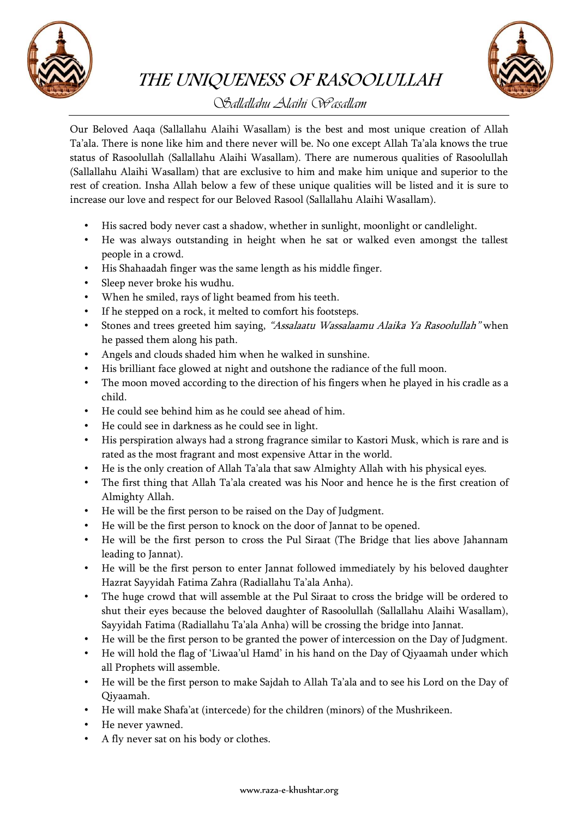

THE UNIQUENESS OF RASOOLULLAH



## *Sallallahu Alaihi Wasallam*

Our Beloved Aaqa (Sallallahu Alaihi Wasallam) is the best and most unique creation of Allah Ta'ala. There is none like him and there never will be. No one except Allah Ta'ala knows the true status of Rasoolullah (Sallallahu Alaihi Wasallam). There are numerous qualities of Rasoolullah (Sallallahu Alaihi Wasallam) that are exclusive to him and make him unique and superior to the rest of creation. Insha Allah below a few of these unique qualities will be listed and it is sure to increase our love and respect for our Beloved Rasool (Sallallahu Alaihi Wasallam).

- His sacred body never cast a shadow, whether in sunlight, moonlight or candlelight.
- He was always outstanding in height when he sat or walked even amongst the tallest people in a crowd.
- His Shahaadah finger was the same length as his middle finger.
- Sleep never broke his wudhu.
- When he smiled, rays of light beamed from his teeth.
- If he stepped on a rock, it melted to comfort his footsteps.
- Stones and trees greeted him saying, "Assalaatu Wassalaamu Alaika Ya Rasoolullah" when he passed them along his path.
- Angels and clouds shaded him when he walked in sunshine.
- His brilliant face glowed at night and outshone the radiance of the full moon.
- The moon moved according to the direction of his fingers when he played in his cradle as a child.
- He could see behind him as he could see ahead of him.
- He could see in darkness as he could see in light.
- His perspiration always had a strong fragrance similar to Kastori Musk, which is rare and is rated as the most fragrant and most expensive Attar in the world.
- He is the only creation of Allah Ta'ala that saw Almighty Allah with his physical eyes.
- The first thing that Allah Ta'ala created was his Noor and hence he is the first creation of Almighty Allah.
- He will be the first person to be raised on the Day of Judgment.
- He will be the first person to knock on the door of Jannat to be opened.
- He will be the first person to cross the Pul Siraat (The Bridge that lies above Jahannam leading to Jannat).
- He will be the first person to enter Jannat followed immediately by his beloved daughter Hazrat Sayyidah Fatima Zahra (Radiallahu Ta'ala Anha).
- The huge crowd that will assemble at the Pul Siraat to cross the bridge will be ordered to shut their eyes because the beloved daughter of Rasoolullah (Sallallahu Alaihi Wasallam), Sayyidah Fatima (Radiallahu Ta'ala Anha) will be crossing the bridge into Jannat.
- He will be the first person to be granted the power of intercession on the Day of Judgment.
- He will hold the flag of 'Liwaa'ul Hamd' in his hand on the Day of Qiyaamah under which all Prophets will assemble.
- He will be the first person to make Sajdah to Allah Ta'ala and to see his Lord on the Day of Qiyaamah.
- He will make Shafa'at (intercede) for the children (minors) of the Mushrikeen.
- He never yawned.
- A fly never sat on his body or clothes.